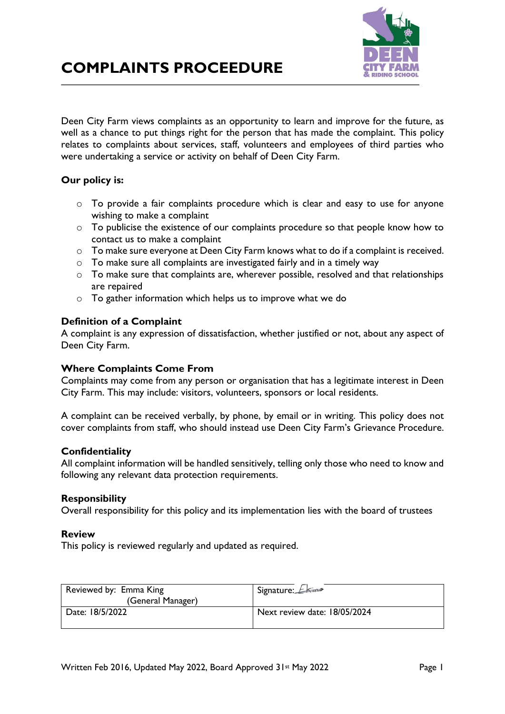



Deen City Farm views complaints as an opportunity to learn and improve for the future, as well as a chance to put things right for the person that has made the complaint. This policy relates to complaints about services, staff, volunteers and employees of third parties who were undertaking a service or activity on behalf of Deen City Farm.

## **Our policy is:**

- o To provide a fair complaints procedure which is clear and easy to use for anyone wishing to make a complaint
- o To publicise the existence of our complaints procedure so that people know how to contact us to make a complaint
- o To make sure everyone at Deen City Farm knows what to do if a complaint is received.
- o To make sure all complaints are investigated fairly and in a timely way
- o To make sure that complaints are, wherever possible, resolved and that relationships are repaired
- o To gather information which helps us to improve what we do

## **Definition of a Complaint**

A complaint is any expression of dissatisfaction, whether justified or not, about any aspect of Deen City Farm.

## **Where Complaints Come From**

Complaints may come from any person or organisation that has a legitimate interest in Deen City Farm. This may include: visitors, volunteers, sponsors or local residents.

A complaint can be received verbally, by phone, by email or in writing. This policy does not cover complaints from staff, who should instead use Deen City Farm's Grievance Procedure.

#### **Confidentiality**

All complaint information will be handled sensitively, telling only those who need to know and following any relevant data protection requirements.

#### **Responsibility**

Overall responsibility for this policy and its implementation lies with the board of trustees

## **Review**

This policy is reviewed regularly and updated as required.

| Reviewed by: Emma King | Signature: <del>LKing</del>  |
|------------------------|------------------------------|
| (General Manager)      |                              |
| Date: 18/5/2022        | Next review date: 18/05/2024 |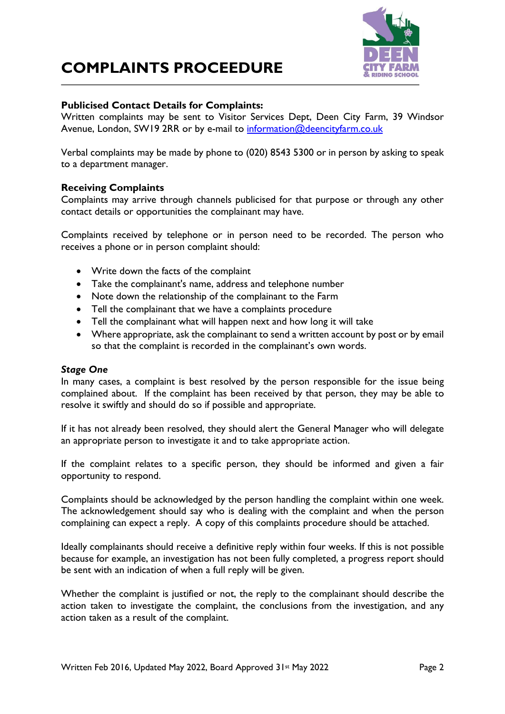# **COMPLAINTS PROCEEDURE**



## **Publicised Contact Details for Complaints:**

Written complaints may be sent to Visitor Services Dept, Deen City Farm, 39 Windsor Avenue, London, SW19 2RR or by e-mail to [information@deencityfarm.co.uk](mailto:information@deencityfarm.co.uk)

Verbal complaints may be made by phone to (020) 8543 5300 or in person by asking to speak to a department manager.

## **Receiving Complaints**

Complaints may arrive through channels publicised for that purpose or through any other contact details or opportunities the complainant may have.

Complaints received by telephone or in person need to be recorded. The person who receives a phone or in person complaint should:

- Write down the facts of the complaint
- Take the complainant's name, address and telephone number
- Note down the relationship of the complainant to the Farm
- Tell the complainant that we have a complaints procedure
- Tell the complainant what will happen next and how long it will take
- Where appropriate, ask the complainant to send a written account by post or by email so that the complaint is recorded in the complainant's own words.

## *Stage One*

In many cases, a complaint is best resolved by the person responsible for the issue being complained about. If the complaint has been received by that person, they may be able to resolve it swiftly and should do so if possible and appropriate.

If it has not already been resolved, they should alert the General Manager who will delegate an appropriate person to investigate it and to take appropriate action.

If the complaint relates to a specific person, they should be informed and given a fair opportunity to respond.

Complaints should be acknowledged by the person handling the complaint within one week. The acknowledgement should say who is dealing with the complaint and when the person complaining can expect a reply. A copy of this complaints procedure should be attached.

Ideally complainants should receive a definitive reply within four weeks. If this is not possible because for example, an investigation has not been fully completed, a progress report should be sent with an indication of when a full reply will be given.

Whether the complaint is justified or not, the reply to the complainant should describe the action taken to investigate the complaint, the conclusions from the investigation, and any action taken as a result of the complaint.